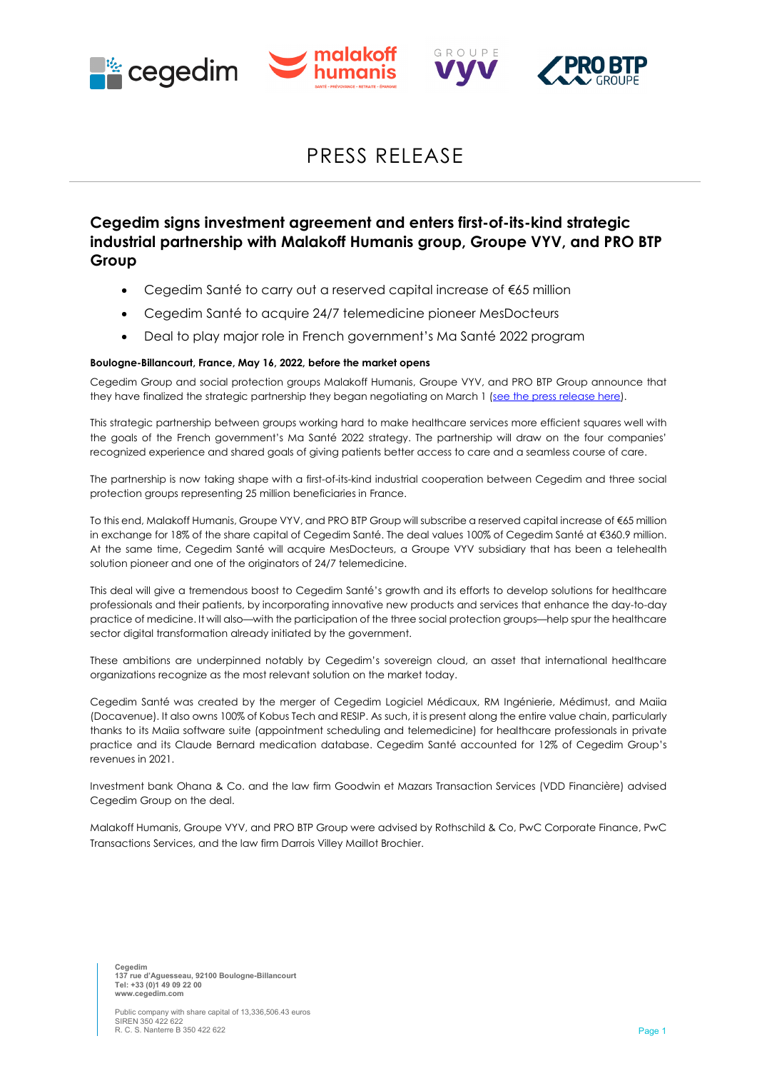





# PRESS RELEASE

GPOUPE

## **Cegedim signs investment agreement and enters first-of-its-kind strategic industrial partnership with Malakoff Humanis group, Groupe VYV, and PRO BTP Group**

- Cegedim Santé to carry out a reserved capital increase of €65 million
- Cegedim Santé to acquire 24/7 telemedicine pioneer MesDocteurs
- Deal to play major role in French government's Ma Santé 2022 program

## **Boulogne-Billancourt, France, May 16, 2022, before the market opens**

Cegedim Group and social protection groups Malakoff Humanis, Groupe VYV, and PRO BTP Group announce that they have finalized the strategic partnership they began negotiating on March 1 [\(see the press release here\)](https://www.cegedim.com/Communique/PR_Cegedim-Sante_03-01-2022_ENG.pdf).

This strategic partnership between groups working hard to make healthcare services more efficient squares well with the goals of the French government's Ma Santé 2022 strategy. The partnership will draw on the four companies' recognized experience and shared goals of giving patients better access to care and a seamless course of care.

The partnership is now taking shape with a first-of-its-kind industrial cooperation between Cegedim and three social protection groups representing 25 million beneficiaries in France.

To this end, Malakoff Humanis, Groupe VYV, and PRO BTP Group will subscribe a reserved capital increase of €65 million in exchange for 18% of the share capital of Cegedim Santé. The deal values 100% of Cegedim Santé at €360.9 million. At the same time, Cegedim Santé will acquire MesDocteurs, a Groupe VYV subsidiary that has been a telehealth solution pioneer and one of the originators of 24/7 telemedicine.

This deal will give a tremendous boost to Cegedim Santé's growth and its efforts to develop solutions for healthcare professionals and their patients, by incorporating innovative new products and services that enhance the day-to-day practice of medicine. It will also—with the participation of the three social protection groups—help spur the healthcare sector digital transformation already initiated by the government.

These ambitions are underpinned notably by Cegedim's sovereign cloud, an asset that international healthcare organizations recognize as the most relevant solution on the market today.

Cegedim Santé was created by the merger of Cegedim Logiciel Médicaux, RM Ingénierie, Médimust, and Maiia (Docavenue). It also owns 100% of Kobus Tech and RESIP. As such, it is present along the entire value chain, particularly thanks to its Maiia software suite (appointment scheduling and telemedicine) for healthcare professionals in private practice and its Claude Bernard medication database. Cegedim Santé accounted for 12% of Cegedim Group's revenues in 2021.

Investment bank Ohana & Co. and the law firm Goodwin et Mazars Transaction Services (VDD Financière) advised Cegedim Group on the deal.

Malakoff Humanis, Groupe VYV, and PRO BTP Group were advised by Rothschild & Co, PwC Corporate Finance, PwC Transactions Services, and the law firm Darrois Villey Maillot Brochier.

**Cegedim 137 rue d'Aguesseau, 92100 Boulogne-Billancourt Tel: +33 (0)1 49 09 22 00 www.cegedim.com**